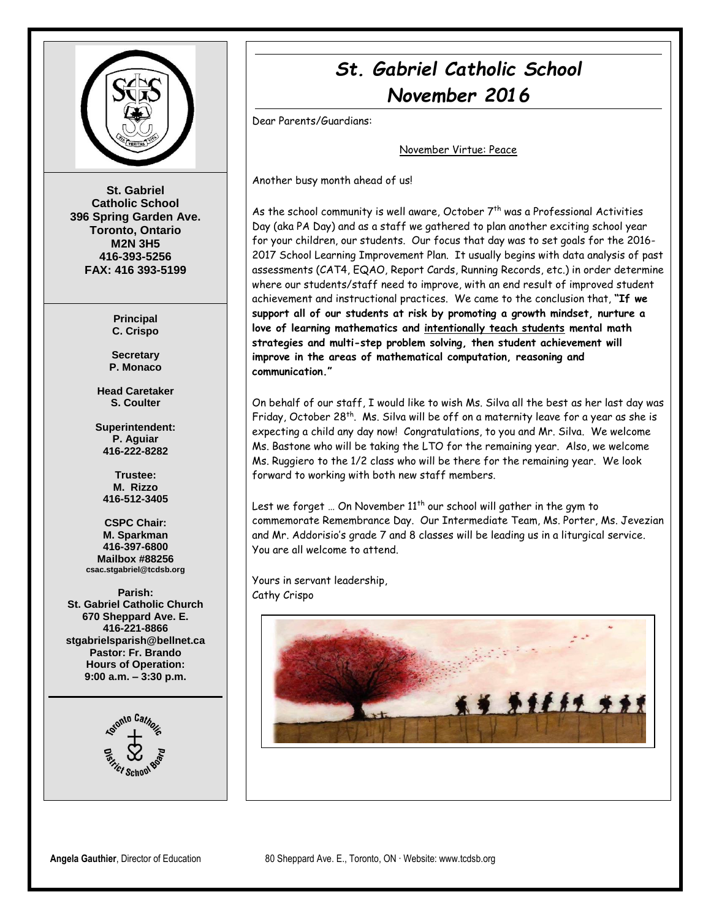

**St. Gabriel Catholic School 396 Spring Garden Ave. Toronto, Ontario M2N 3H5 416-393-5256 FAX: 416 393-5199**

> **Principal C. Crispo**

**Secretary P. Monaco**

**Head Caretaker S. Coulter**

**Superintendent: P. Aguiar 416-222-8282**

**Trustee: M. Rizzo 416-512-3405**

**CSPC Chair: M. Sparkman 416-397-6800 Mailbox #88256 csac.stgabriel@tcdsb.org**

**Parish: St. Gabriel Catholic Church 670 Sheppard Ave. E. 416-221-8866 stgabrielsparish@bellnet.ca Pastor: Fr. Brando Hours of Operation: 9:00 a.m. – 3:30 p.m.**



# *St. Gabriel Catholic School November 2016*

Dear Parents/Guardians:

November Virtue: Peace

Another busy month ahead of us!

As the school community is well aware, October  $7<sup>th</sup>$  was a Professional Activities Day (aka PA Day) and as a staff we gathered to plan another exciting school year for your children, our students. Our focus that day was to set goals for the 2016- 2017 School Learning Improvement Plan. It usually begins with data analysis of past assessments (CAT4, EQAO, Report Cards, Running Records, etc.) in order determine where our students/staff need to improve, with an end result of improved student achievement and instructional practices. We came to the conclusion that, **"If we support all of our students at risk by promoting a growth mindset, nurture a love of learning mathematics and intentionally teach students mental math strategies and multi-step problem solving, then student achievement will improve in the areas of mathematical computation, reasoning and communication."**

On behalf of our staff, I would like to wish Ms. Silva all the best as her last day was Friday, October 28th. Ms. Silva will be off on a maternity leave for a year as she is expecting a child any day now! Congratulations, to you and Mr. Silva. We welcome Ms. Bastone who will be taking the LTO for the remaining year. Also, we welcome Ms. Ruggiero to the 1/2 class who will be there for the remaining year. We look forward to working with both new staff members.

Lest we forget ... On November  $11<sup>th</sup>$  our school will gather in the gym to commemorate Remembrance Day. Our Intermediate Team, Ms. Porter, Ms. Jevezian and Mr. Addorisio's grade 7 and 8 classes will be leading us in a liturgical service. You are all welcome to attend.

Yours in servant leadership, Cathy Crispo

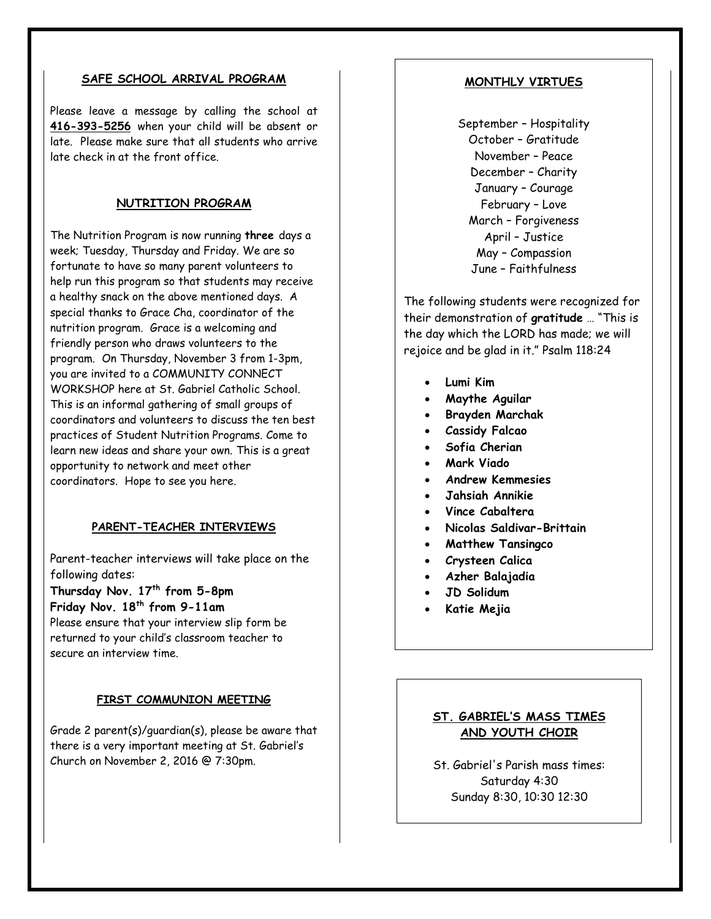#### **SAFE SCHOOL ARRIVAL PROGRAM**

Please leave a message by calling the school at **416-393-5256** when your child will be absent or late. Please make sure that all students who arrive late check in at the front office.

### **NUTRITION PROGRAM**

The Nutrition Program is now running **three** days a week; Tuesday, Thursday and Friday. We are so fortunate to have so many parent volunteers to help run this program so that students may receive a healthy snack on the above mentioned days. A special thanks to Grace Cha, coordinator of the nutrition program. Grace is a welcoming and friendly person who draws volunteers to the program. On Thursday, November 3 from 1-3pm, you are invited to a COMMUNITY CONNECT WORKSHOP here at St. Gabriel Catholic School. This is an informal gathering of small groups of coordinators and volunteers to discuss the ten best practices of Student Nutrition Programs. Come to learn new ideas and share your own. This is a great opportunity to network and meet other coordinators. Hope to see you here.

#### **PARENT-TEACHER INTERVIEWS**

Parent-teacher interviews will take place on the following dates:

**Thursday Nov. 17th from 5-8pm Friday Nov. 18th from 9-11am** 

Please ensure that your interview slip form be returned to your child's classroom teacher to secure an interview time.

#### **FIRST COMMUNION MEETING**

Grade 2 parent(s)/guardian(s), please be aware that there is a very important meeting at St. Gabriel's Church on November 2, 2016 @ 7:30pm.

#### **MONTHLY VIRTUES**

September – Hospitality October – Gratitude November – Peace December – Charity January – Courage February – Love March – Forgiveness April – Justice May – Compassion June – Faithfulness

The following students were recognized for their demonstration of **gratitude** … "This is the day which the LORD has made; we will rejoice and be glad in it." Psalm 118:24

- **Lumi Kim**
- **Maythe Aguilar**
- **Brayden Marchak**
- **Cassidy Falcao**
- **Sofia Cherian**
- **Mark Viado**
- **Andrew Kemmesies**
- **Jahsiah Annikie**
- **Vince Cabaltera**
- **Nicolas Saldivar-Brittain**
- **Matthew Tansingco**
- **Crysteen Calica**
- **Azher Balajadia**
- **JD Solidum**
- **Katie Mejia**

### **ST. GABRIEL'S MASS TIMES AND YOUTH CHOIR**

St. Gabriel's Parish mass times: Saturday 4:30 Sunday 8:30, 10:30 12:30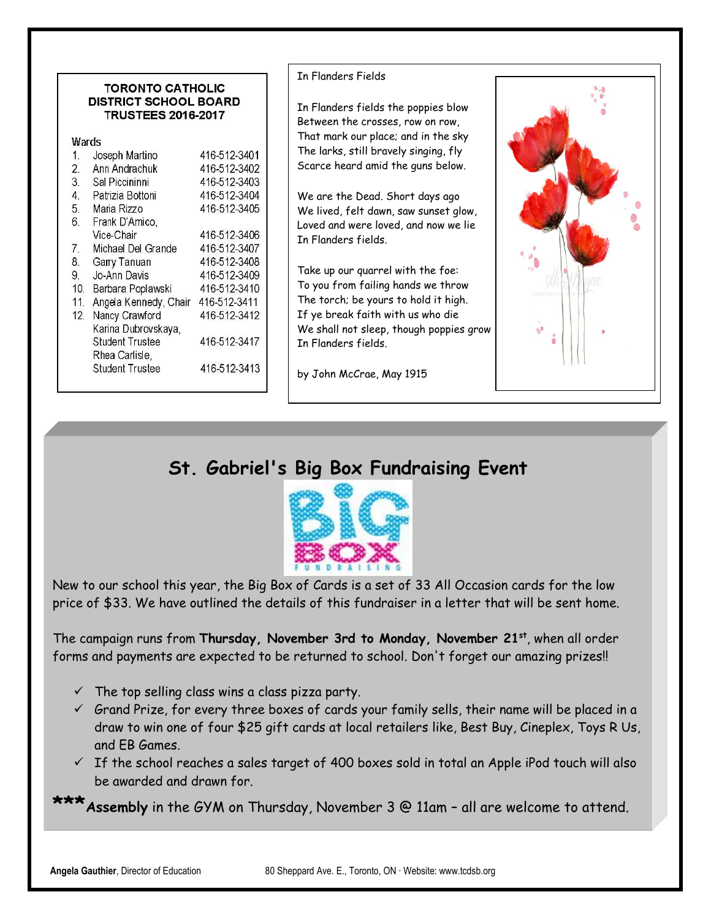#### **TORONTO CATHOLIC DISTRICT SCHOOL BOARD TRUSTEES 2016-2017**

| Wards |  |  |
|-------|--|--|
|       |  |  |

| $\mathbf{1}$ .   | Joseph Martino         | 416-512-3401 |
|------------------|------------------------|--------------|
| $\overline{2}$ . | Ann Andrachuk          | 416-512-3402 |
| 3.               | Sal Piccininni         | 416-512-3403 |
| 4.               | Patrizia Bottoni       | 416-512-3404 |
| 5.               | Maria Rizzo            | 416-512-3405 |
| 6.               | Frank D'Amico,         |              |
|                  | Vice-Chair             | 416-512-3406 |
| 7.               | Michael Del Grande     | 416-512-3407 |
| 8.               | Garry Tanuan           | 416-512-3408 |
| 9.               | Jo-Ann Davis           | 416-512-3409 |
| 10.              | Barbara Poplawski      | 416-512-3410 |
| 11               | Angela Kennedy, Chair  | 416-512-3411 |
| 12.              | Nancy Crawford         | 416-512-3412 |
|                  | Karina Dubrovskaya,    |              |
|                  | <b>Student Trustee</b> | 416-512-3417 |
|                  | Rhea Carlisle,         |              |
|                  | <b>Student Trustee</b> | 416-512-3413 |
|                  |                        |              |

### In Flanders Fields

In Flanders fields the poppies blow Between the crosses, row on row, That mark our place; and in the sky The larks, still bravely singing, fly Scarce heard amid the guns below.

We are the Dead. Short days ago We lived, felt dawn, saw sunset glow, Loved and were loved, and now we lie In Flanders fields.

Take up our quarrel with the foe: To you from failing hands we throw The torch; be yours to hold it high. If ye break faith with us who die We shall not sleep, though poppies grow In Flanders fields.

by John McCrae, May 1915



# **St. Gabriel's Big Box Fundraising Event**



New to our school this year, the Big Box of Cards is a set of 33 All Occasion cards for the low price of \$33. We have outlined the details of this fundraiser in a letter that will be sent home.

The campaign runs from **Thursday, November 3rd to Monday, November 21st**, when all order forms and payments are expected to be returned to school. Don't forget our amazing prizes!!

- $\checkmark$  The top selling class wins a class pizza party.
- $\checkmark$  Grand Prize, for every three boxes of cards your family sells, their name will be placed in a draw to win one of four \$25 gift cards at local retailers like, Best Buy, Cineplex, Toys R Us, and EB Games.
- $\checkmark$  If the school reaches a sales target of 400 boxes sold in total an Apple iPod touch will also be awarded and drawn for.

**\*\*\*Assembly** in the GYM on Thursday, November 3 @ 11am – all are welcome to attend.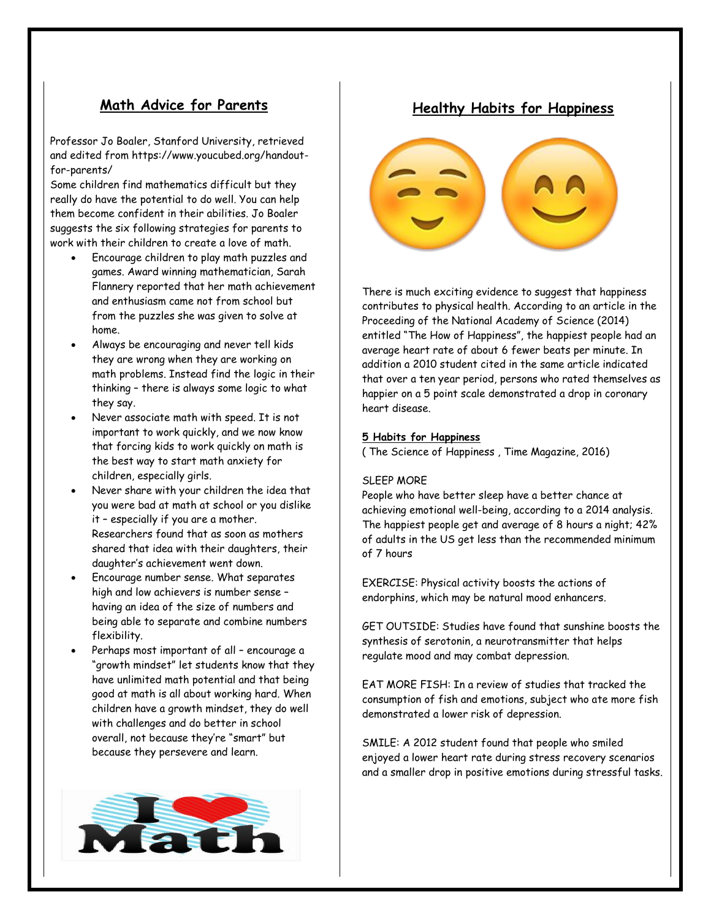## **Math Advice for Parents**

Professor Jo Boaler, Stanford University, retrieved and edited from https://www.youcubed.org/handoutfor-parents/

Some children find mathematics difficult but they really do have the potential to do well. You can help them become confident in their abilities. Jo Boaler suggests the six following strategies for parents to work with their children to create a love of math.

- Encourage children to play math puzzles and games. Award winning mathematician, Sarah Flannery reported that her math achievement and enthusiasm came not from school but from the puzzles she was given to solve at home.
- Always be encouraging and never tell kids they are wrong when they are working on math problems. Instead find the logic in their thinking – there is always some logic to what they say.
- Never associate math with speed. It is not important to work quickly, and we now know that forcing kids to work quickly on math is the best way to start math anxiety for children, especially girls.
- Never share with your children the idea that you were bad at math at school or you dislike it – especially if you are a mother. Researchers found that as soon as mothers shared that idea with their daughters, their daughter's achievement went down.
- Encourage number sense. What separates high and low achievers is number sense – having an idea of the size of numbers and being able to separate and combine numbers flexibility.
- Perhaps most important of all encourage a "growth mindset" let students know that they have unlimited math potential and that being good at math is all about working hard. When children have a growth mindset, they do well with challenges and do better in school overall, not because they're "smart" but because they persevere and learn.





There is much exciting evidence to suggest that happiness contributes to physical health. According to an article in the Proceeding of the National Academy of Science (2014) entitled "The How of Happiness", the happiest people had an average heart rate of about 6 fewer beats per minute. In addition a 2010 student cited in the same article indicated that over a ten year period, persons who rated themselves as happier on a 5 point scale demonstrated a drop in coronary heart disease.

#### **5 Habits for Happiness**

( The Science of Happiness , Time Magazine, 2016)

#### SLEEP MORE

People who have better sleep have a better chance at achieving emotional well-being, according to a 2014 analysis. The happiest people get and average of 8 hours a night; 42% of adults in the US get less than the recommended minimum of 7 hours

EXERCISE: Physical activity boosts the actions of endorphins, which may be natural mood enhancers.

GET OUTSIDE: Studies have found that sunshine boosts the synthesis of serotonin, a neurotransmitter that helps regulate mood and may combat depression.

EAT MORE FISH: In a review of studies that tracked the consumption of fish and emotions, subject who ate more fish demonstrated a lower risk of depression.

SMILE: A 2012 student found that people who smiled enjoyed a lower heart rate during stress recovery scenarios and a smaller drop in positive emotions during stressful tasks.